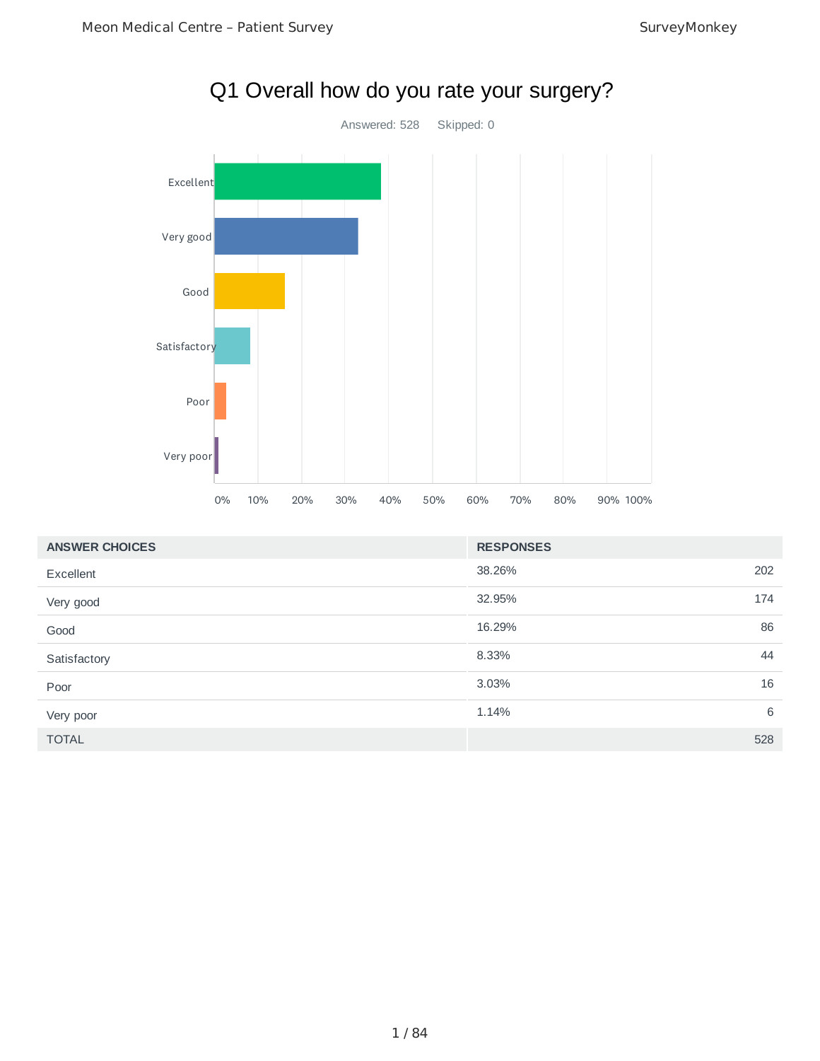

| <b>ANSWER CHOICES</b> | <b>RESPONSES</b> |     |
|-----------------------|------------------|-----|
| Excellent             | 38.26%           | 202 |
| Very good             | 32.95%           | 174 |
| Good                  | 16.29%           | 86  |
| Satisfactory          | 8.33%            | 44  |
| Poor                  | 3.03%            | 16  |
| Very poor             | 1.14%            | 6   |
| <b>TOTAL</b>          |                  | 528 |

# Q1 Overall how do you rate your surgery?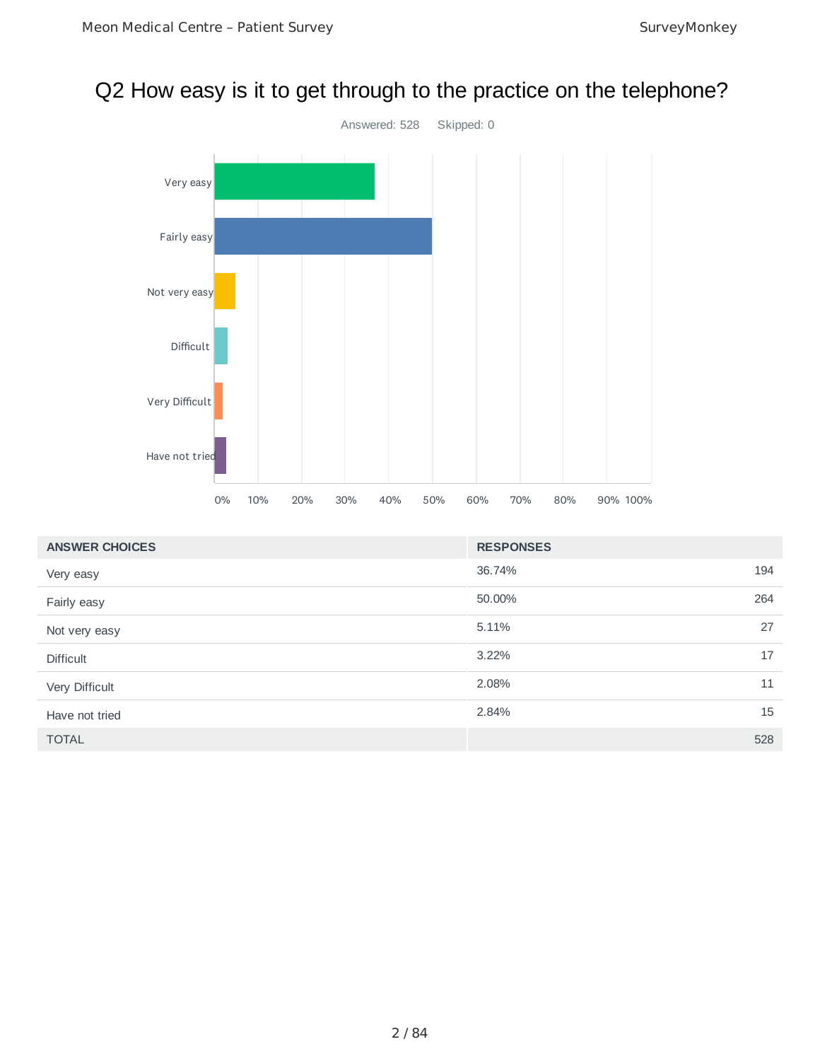# Q2 How easy is it to get through to the practice on the telephone?



| <b>ANSWER CHOICES</b> | <b>RESPONSES</b> |     |
|-----------------------|------------------|-----|
| Very easy             | 36.74%           | 194 |
| Fairly easy           | 50.00%           | 264 |
| Not very easy         | 5.11%            | 27  |
| <b>Difficult</b>      | 3.22%            | 17  |
| Very Difficult        | 2.08%            | 11  |
| Have not tried        | 2.84%            | 15  |
| <b>TOTAL</b>          |                  | 528 |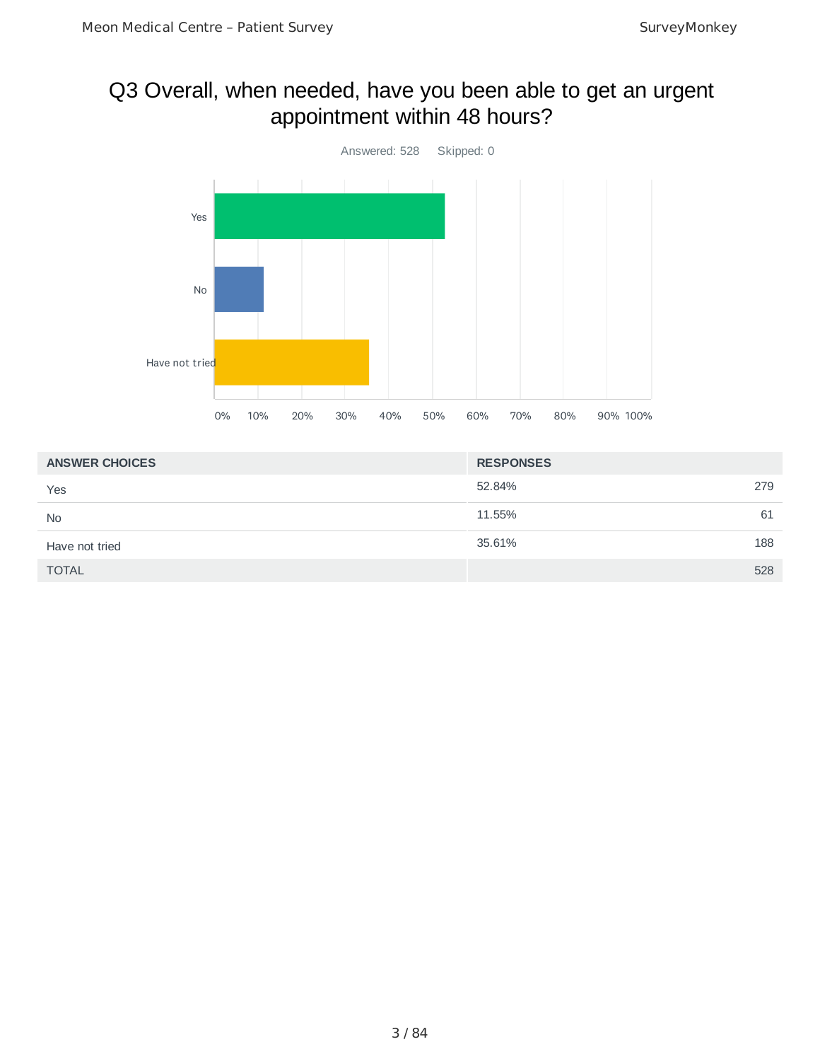# Q3 Overall, when needed, have you been able to get an urgent appointment within 48 hours?



| <b>ANSWER CHOICES</b> | <b>RESPONSES</b> |
|-----------------------|------------------|
| Yes                   | 52.84%<br>279    |
| <b>No</b>             | 61<br>11.55%     |
| Have not tried        | 188<br>35.61%    |
| <b>TOTAL</b>          | 528              |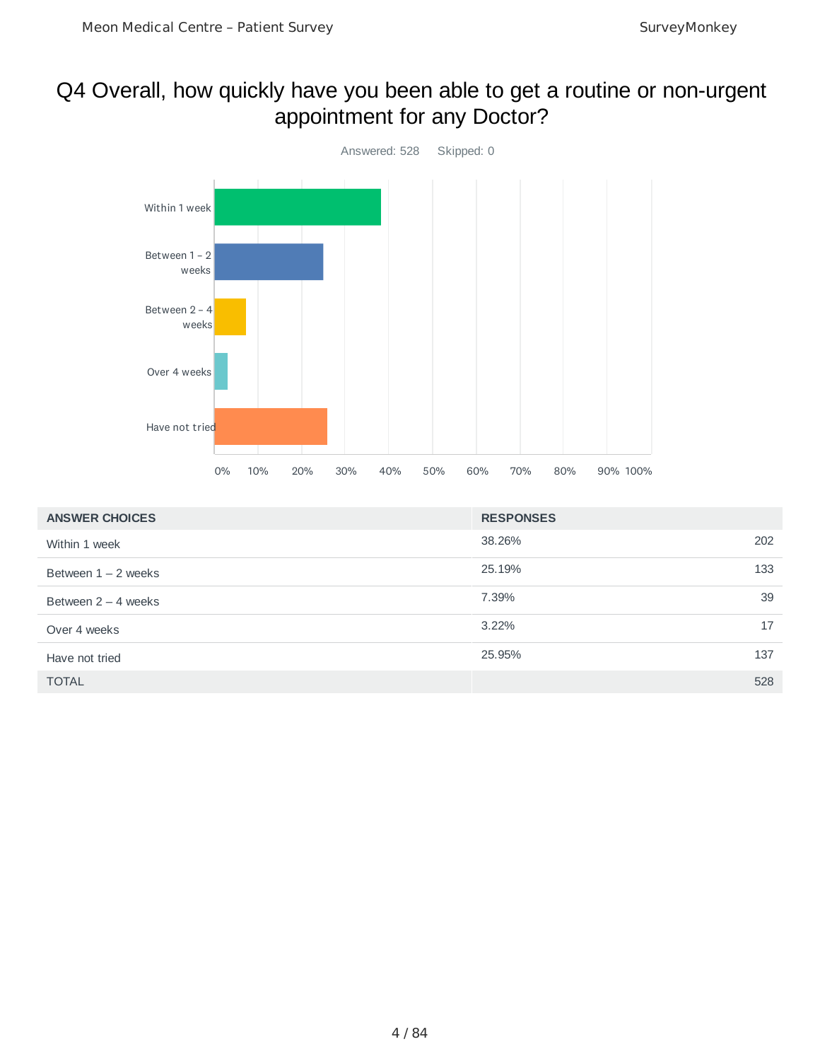# Q4 Overall, how quickly have you been able to get a routine or non-urgent appointment for any Doctor?



| <b>ANSWER CHOICES</b> | <b>RESPONSES</b> |
|-----------------------|------------------|
| Within 1 week         | 38.26%<br>202    |
| Between $1 - 2$ weeks | 25.19%<br>133    |
| Between $2 - 4$ weeks | 39<br>7.39%      |
| Over 4 weeks          | $3.22\%$<br>17   |
| Have not tried        | 25.95%<br>137    |
| <b>TOTAL</b>          | 528              |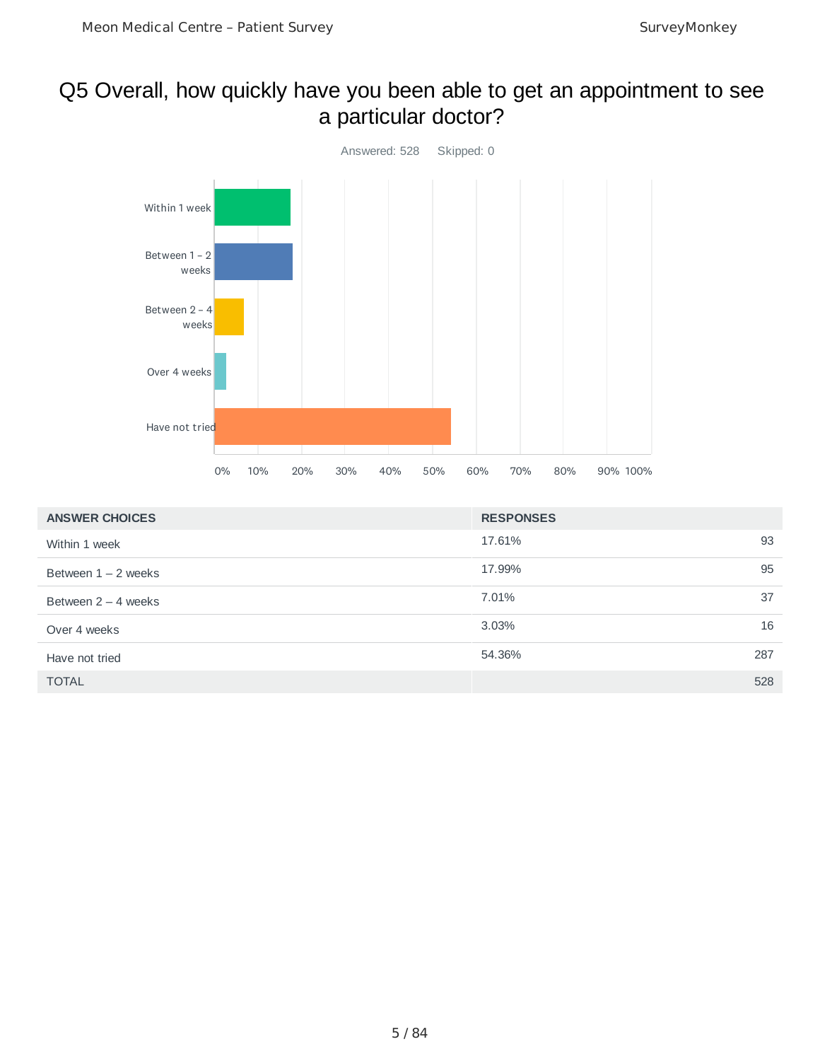## Q5 Overall, how quickly have you been able to get an appointment to see a particular doctor?



| <b>ANSWER CHOICES</b> | <b>RESPONSES</b> |     |
|-----------------------|------------------|-----|
| Within 1 week         | 17.61%           | 93  |
| Between $1 - 2$ weeks | 17.99%           | 95  |
| Between $2 - 4$ weeks | 7.01%            | 37  |
| Over 4 weeks          | 3.03%            | 16  |
| Have not tried        | 54.36%           | 287 |
| <b>TOTAL</b>          |                  | 528 |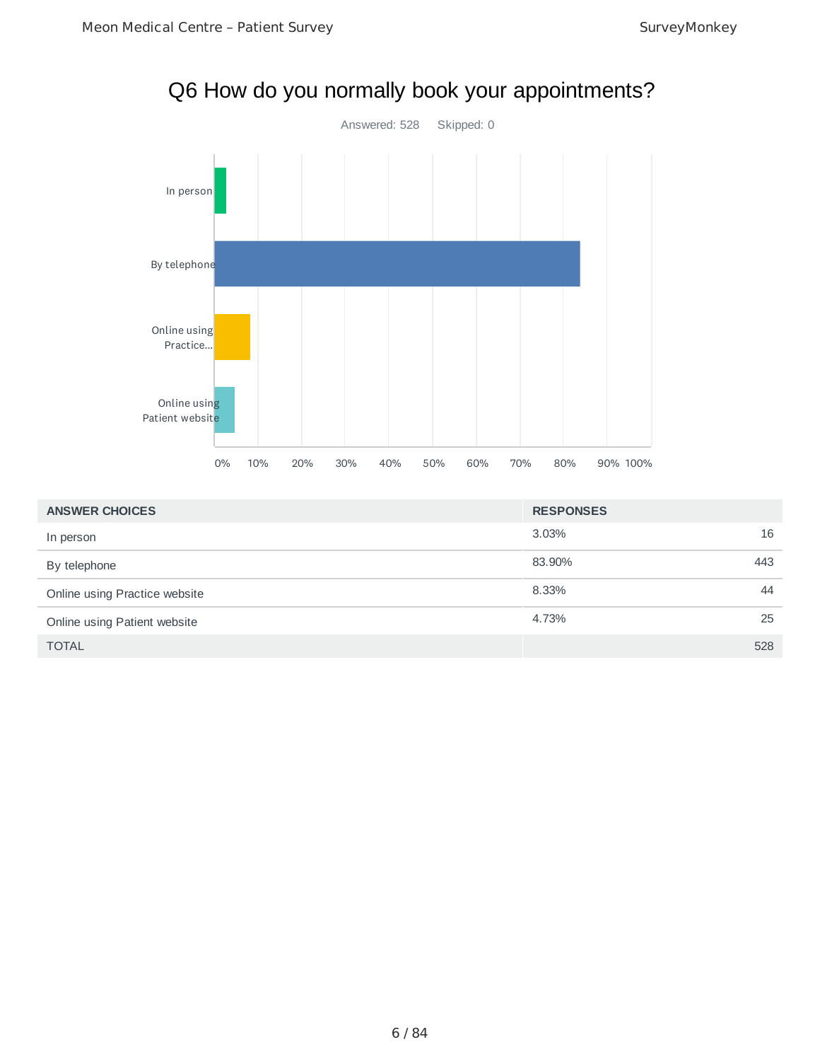

| <b>ANSWER CHOICES</b>         | <b>RESPONSES</b> |     |
|-------------------------------|------------------|-----|
| In person                     | 3.03%            | 16  |
| By telephone                  | 83.90%           | 443 |
| Online using Practice website | 8.33%            | 44  |
| Online using Patient website  | 4.73%            | 25  |
| <b>TOTAL</b>                  |                  | 528 |

# Q6 How do you normally book your appointments?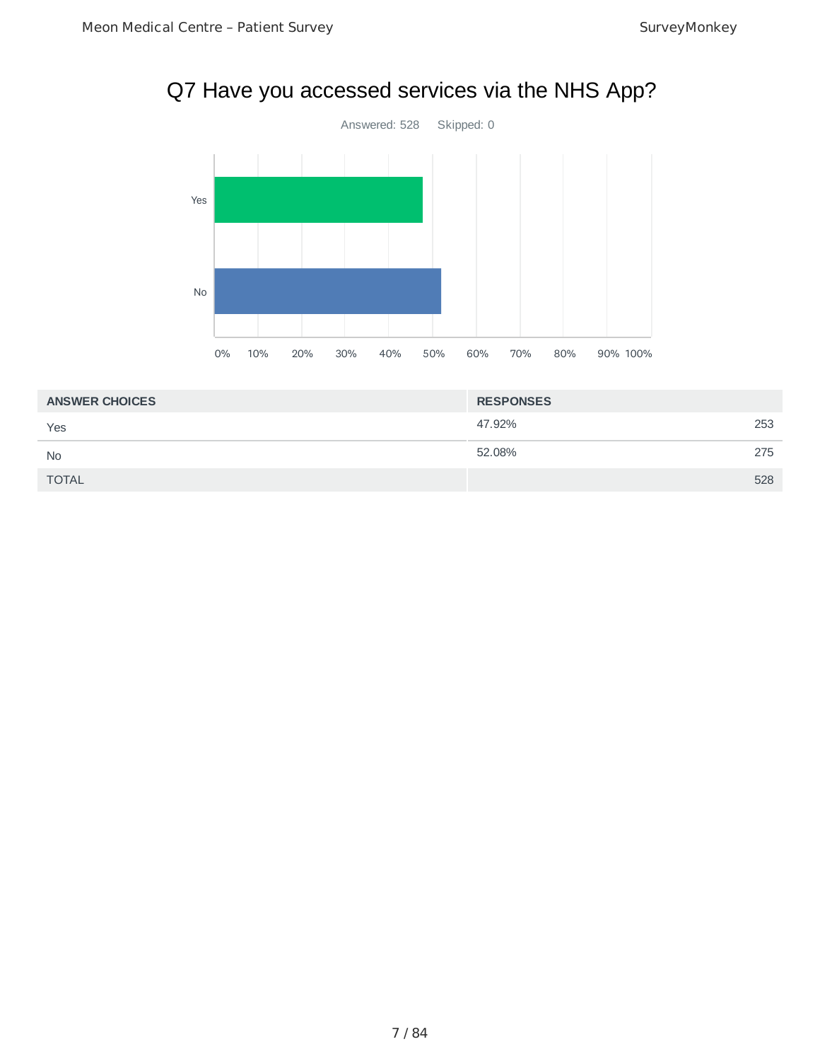# Q7 Have you accessed services via the NHS App?



| <b>ANSWER CHOICES</b> | <b>RESPONSES</b> |     |
|-----------------------|------------------|-----|
| Yes                   | 47.92%           | 253 |
| <b>No</b>             | 52.08%           | 275 |
| <b>TOTAL</b>          |                  | 528 |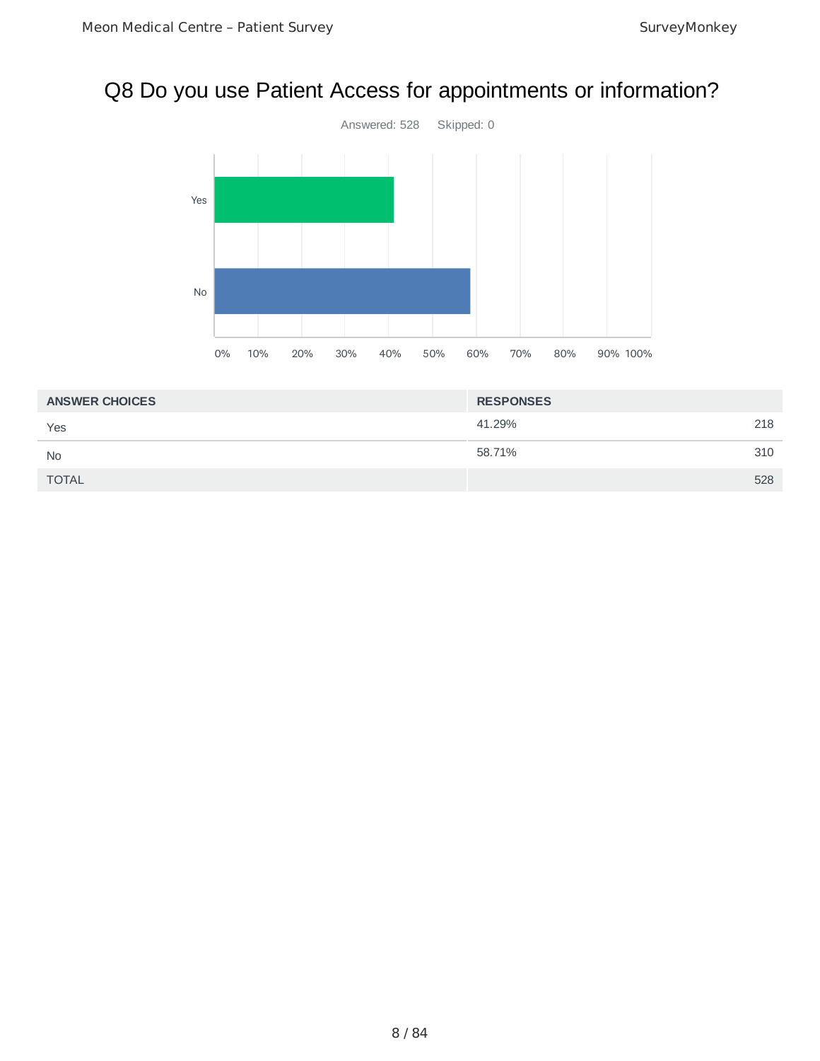# Q8 Do you use Patient Access for appointments or information?



| <b>ANSWER CHOICES</b> | <b>RESPONSES</b> |     |
|-----------------------|------------------|-----|
| Yes                   | 41.29%           | 218 |
| <b>No</b>             | 58.71%           | 310 |
| <b>TOTAL</b>          |                  | 528 |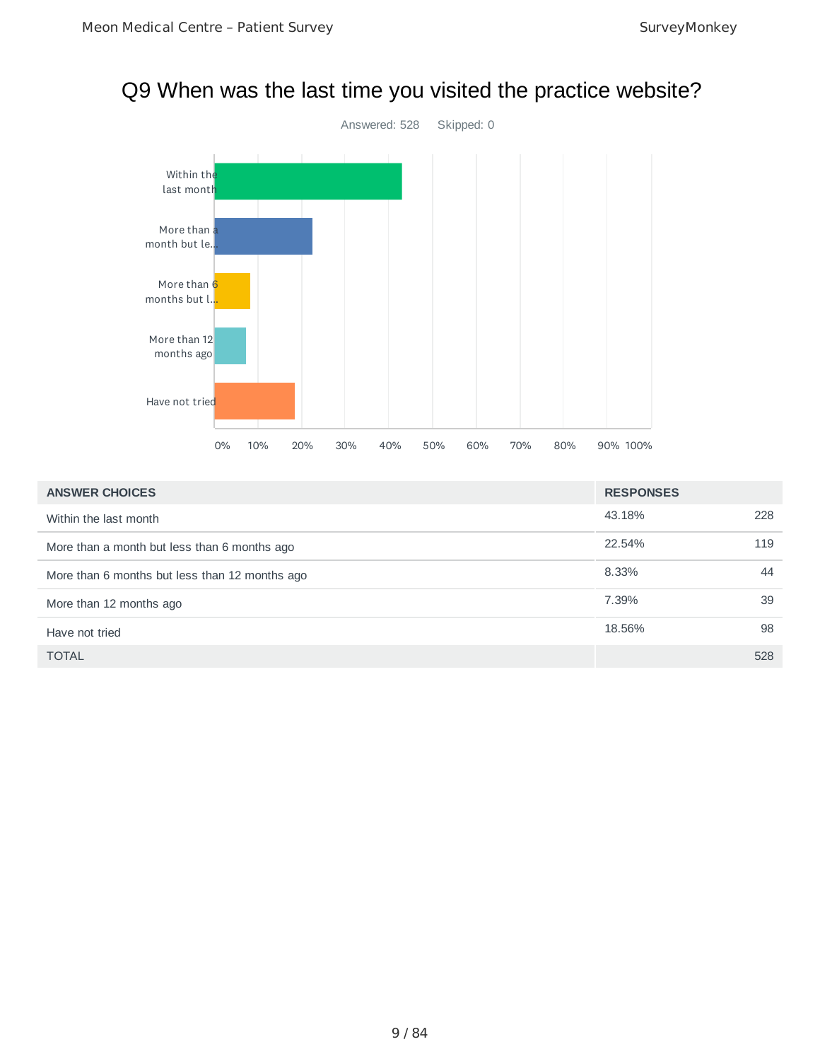# Q9 When was the last time you visited the practice website?



| <b>ANSWER CHOICES</b>                          | <b>RESPONSES</b> |     |
|------------------------------------------------|------------------|-----|
| Within the last month                          | 43.18%           | 228 |
| More than a month but less than 6 months ago   | 22.54%           | 119 |
| More than 6 months but less than 12 months ago | 8.33%            | 44  |
| More than 12 months ago                        | 7.39%            | 39  |
| Have not tried                                 | 18.56%           | 98  |
| <b>TOTAL</b>                                   |                  | 528 |

#### 9 / 84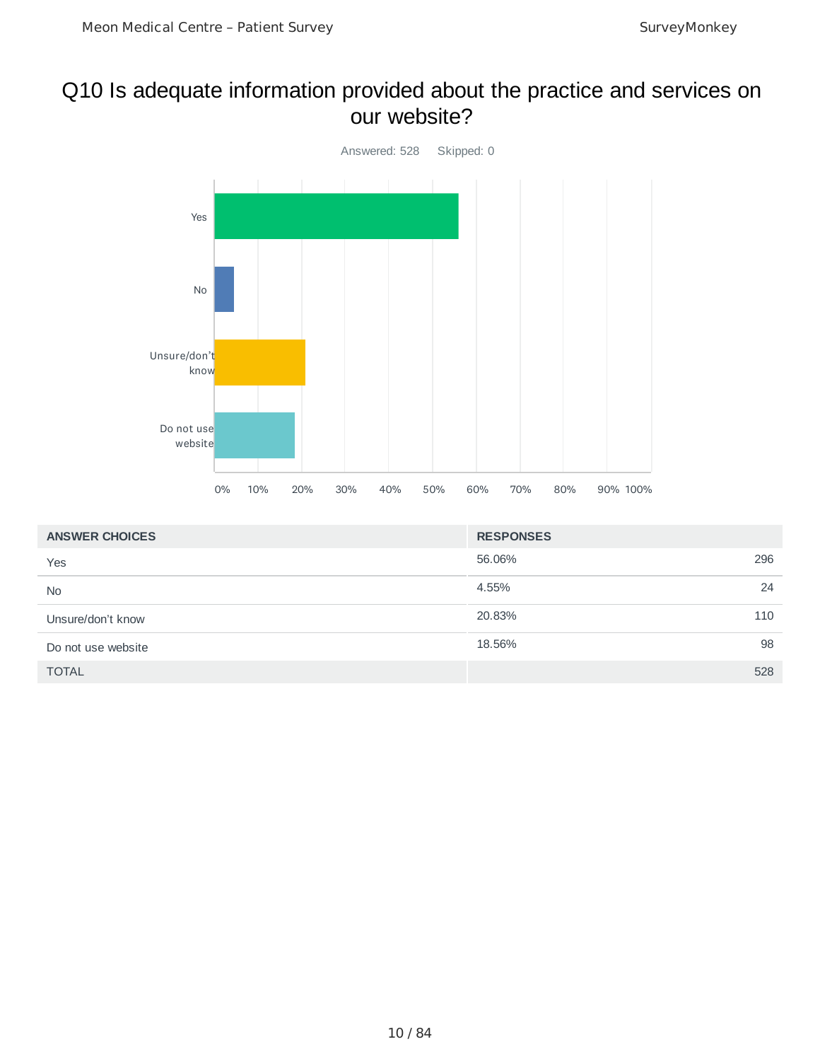### Q10 Is adequate information provided about the practice and services on our website?



| <b>ANSWER CHOICES</b> | <b>RESPONSES</b> |     |
|-----------------------|------------------|-----|
| Yes                   | 56.06%           | 296 |
| <b>No</b>             | 4.55%            | 24  |
| Unsure/don't know     | 20.83%           | 110 |
| Do not use website    | 18.56%           | 98  |
| <b>TOTAL</b>          |                  | 528 |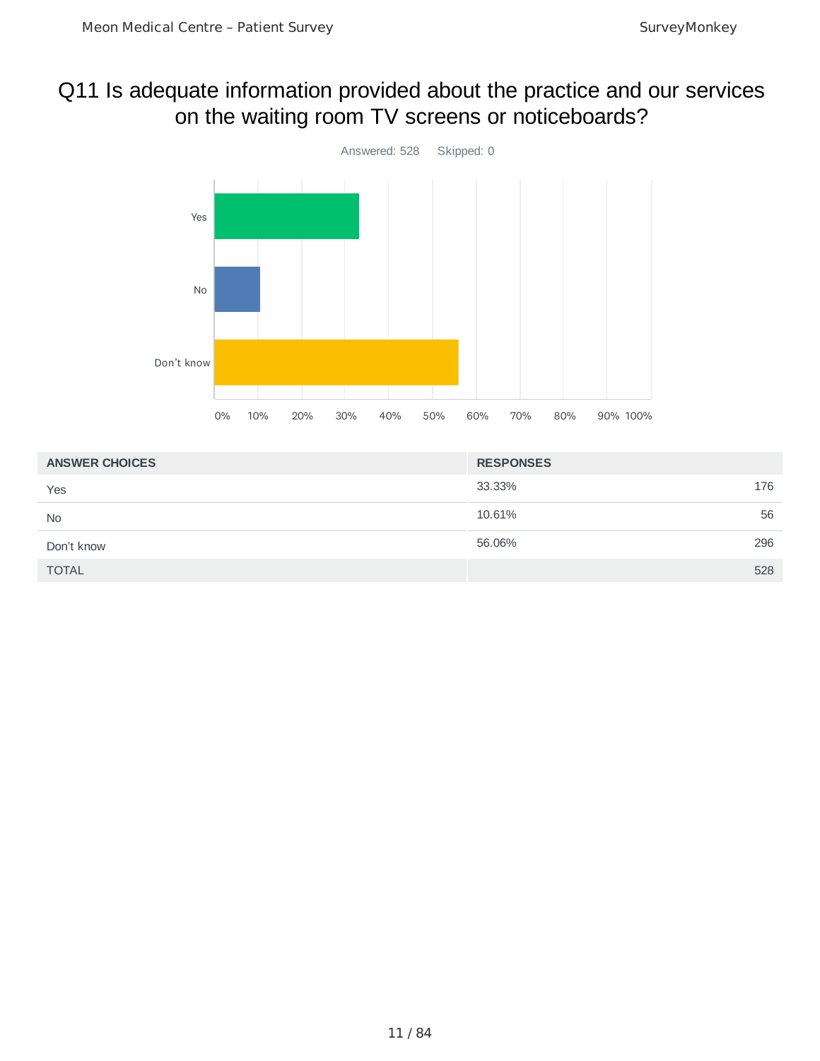## Q11 Is adequate information provided about the practice and our services on the waiting room TV screens or noticeboards?



| <b>ANSWER CHOICES</b> | <b>RESPONSES</b> |
|-----------------------|------------------|
| Yes                   | 176<br>33.33%    |
| <b>No</b>             | 56<br>10.61%     |
| Don't know            | 296<br>56.06%    |
| <b>TOTAL</b>          | 528              |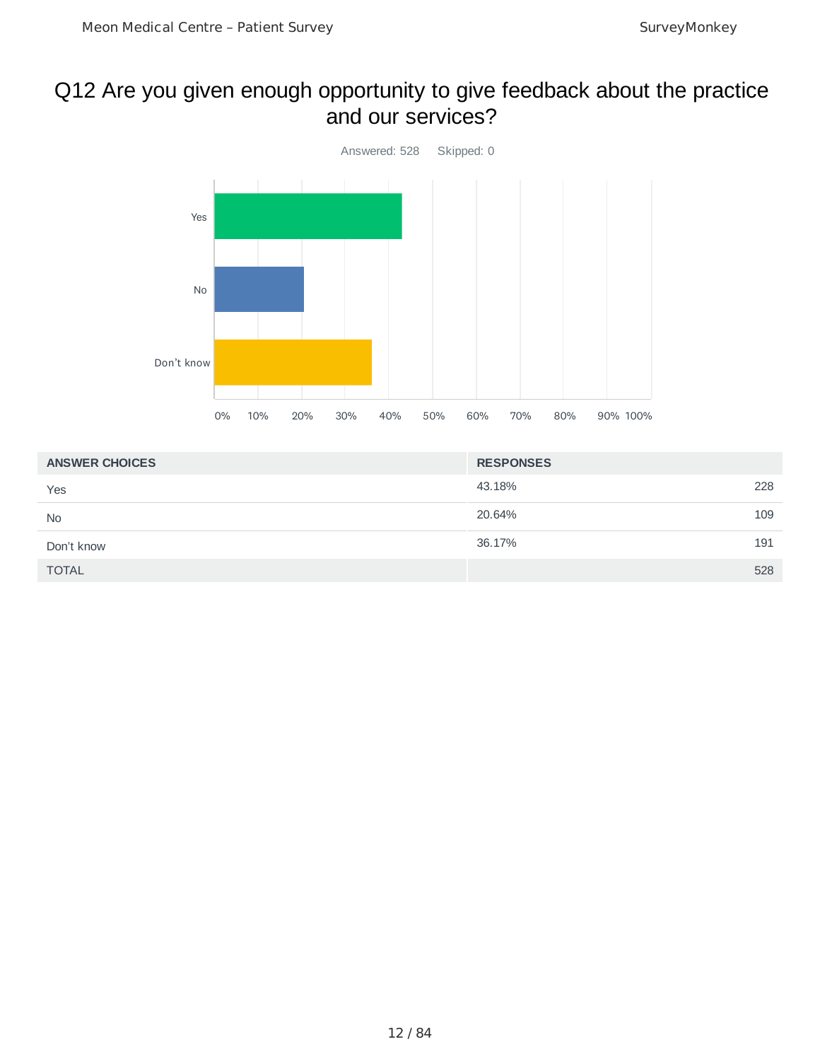## Q12 Are you given enough opportunity to give feedback about the practice and our services?



| <b>ANSWER CHOICES</b> | <b>RESPONSES</b> |     |
|-----------------------|------------------|-----|
| Yes                   | 43.18%           | 228 |
| <b>No</b>             | 20.64%           | 109 |
| Don't know            | 36.17%           | 191 |
| <b>TOTAL</b>          |                  | 528 |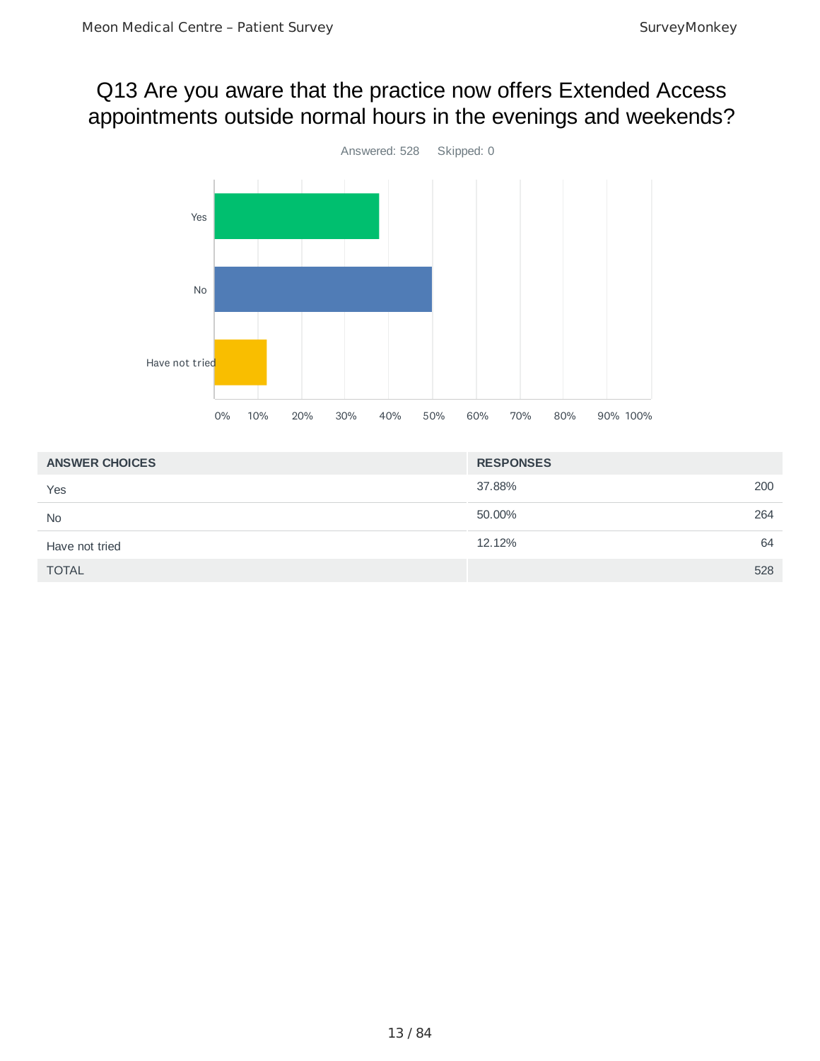### Q13 Are you aware that the practice now offers Extended Access appointments outside normal hours in the evenings and weekends?



| <b>ANSWER CHOICES</b> | <b>RESPONSES</b> |
|-----------------------|------------------|
| Yes                   | 200<br>37.88%    |
| <b>No</b>             | 264<br>50.00%    |
| Have not tried        | 64<br>12.12%     |
| <b>TOTAL</b>          | 528              |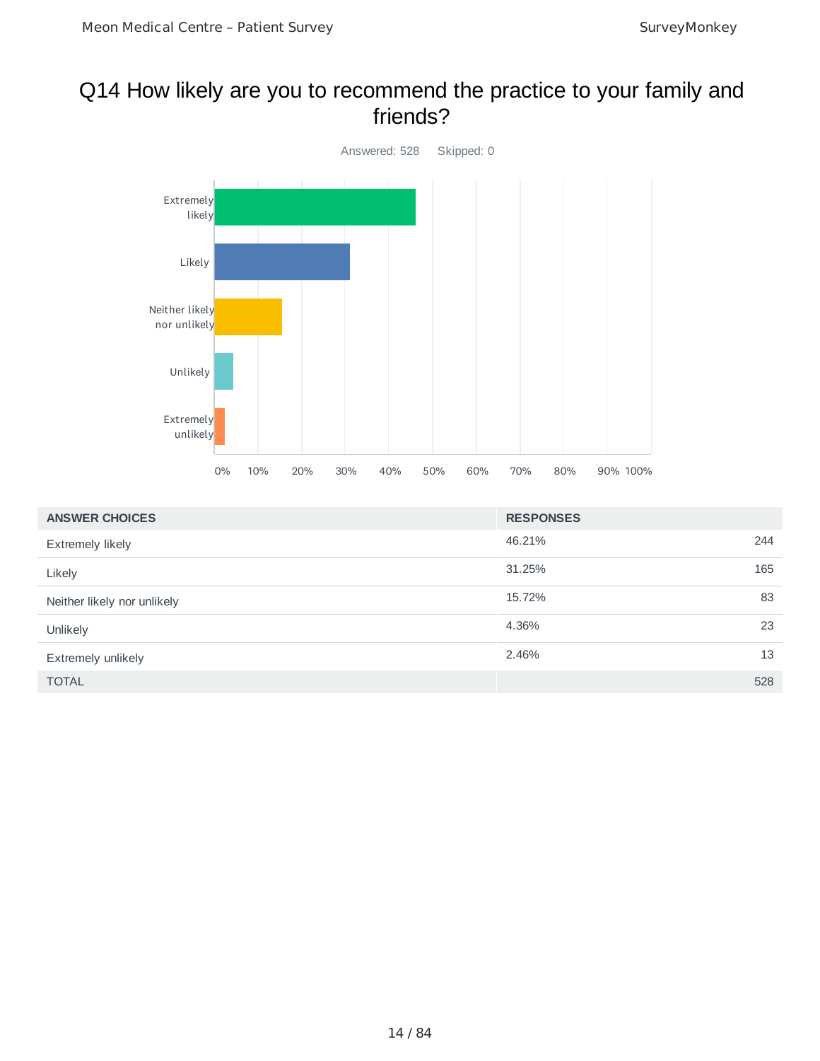### Q14 How likely are you to recommend the practice to your family and friends?



| <b>ANSWER CHOICES</b>       | <b>RESPONSES</b> |     |
|-----------------------------|------------------|-----|
| <b>Extremely likely</b>     | 46.21%           | 244 |
| Likely                      | 31.25%           | 165 |
| Neither likely nor unlikely | 15.72%           | 83  |
| Unlikely                    | 4.36%            | 23  |
| Extremely unlikely          | 2.46%            | 13  |
| <b>TOTAL</b>                |                  | 528 |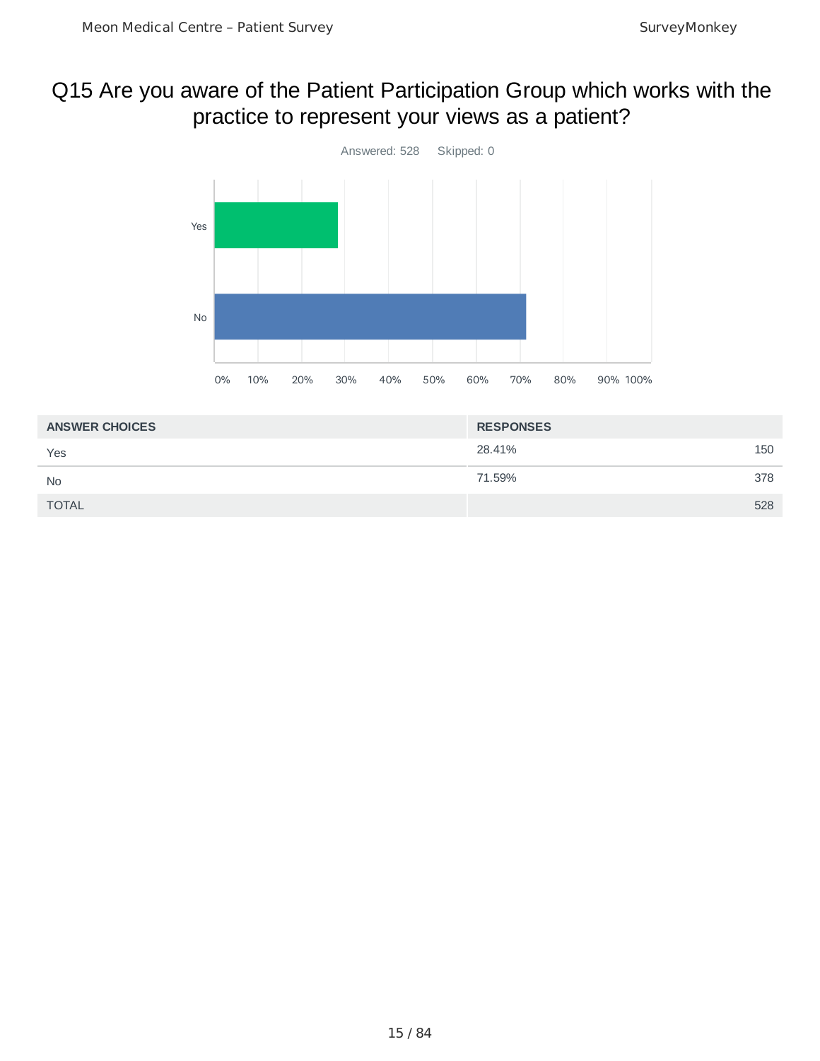# Q15 Are you aware of the Patient Participation Group which works with the practice to represent your views as a patient?



| <b>ANSWER CHOICES</b> | <b>RESPONSES</b> |     |
|-----------------------|------------------|-----|
| Yes                   | 28.41%           | 150 |
| <b>No</b>             | 71.59%           | 378 |
| <b>TOTAL</b>          |                  | 528 |